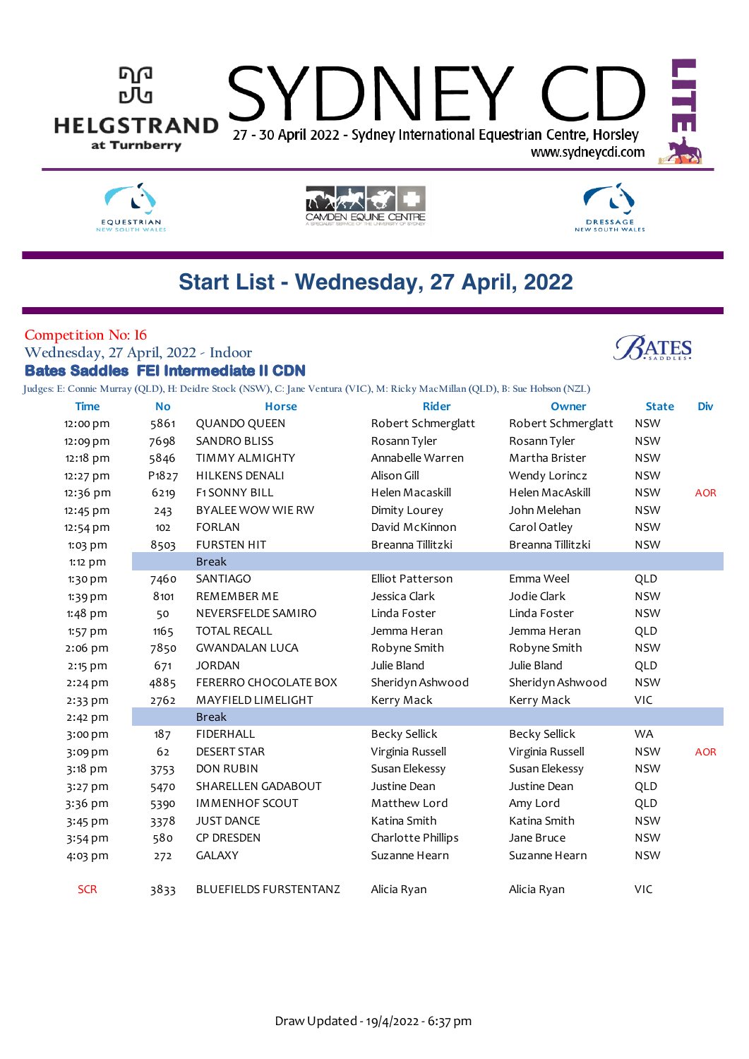







# **Start List - Wednesday, 27 April, 2022**

#### **Competition No: 16**

### **Wednesday, 27 April, 2022 - Indoor**



## **Bates Saddles FEI Intermediate II CDN**

**Judges: E: Connie Murray (QLD), H: Deidre Stock (NSW), C: Jane Ventura (VIC), M: Ricky MacMillan (QLD), B: Sue Hobson (NZL)**

| <b>Time</b> | <b>No</b>                      | <b>Horse</b>                  | <b>Rider</b>         | Owner                | <b>State</b> | <b>Div</b> |
|-------------|--------------------------------|-------------------------------|----------------------|----------------------|--------------|------------|
| 12:00 pm    | 5861                           | <b>QUANDO QUEEN</b>           | Robert Schmerglatt   | Robert Schmerglatt   | <b>NSW</b>   |            |
| 12:09 pm    | 7698                           | <b>SANDRO BLISS</b>           | Rosann Tyler         | Rosann Tyler         | <b>NSW</b>   |            |
| 12:18 pm    | 5846                           | <b>TIMMY ALMIGHTY</b>         | Annabelle Warren     | Martha Brister       | <b>NSW</b>   |            |
| 12:27 pm    | P <sub>1</sub> 8 <sub>27</sub> | <b>HILKENS DENALI</b>         | Alison Gill          | Wendy Lorincz        | <b>NSW</b>   |            |
| 12:36 pm    | 6219                           | <b>F1SONNY BILL</b>           | Helen Macaskill      | Helen MacAskill      | <b>NSW</b>   | <b>AOR</b> |
| 12:45 pm    | 243                            | BYALEE WOW WIE RW             | Dimity Lourey        | John Melehan         | <b>NSW</b>   |            |
| 12:54 pm    | 102                            | <b>FORLAN</b>                 | David McKinnon       | Carol Oatley         | <b>NSW</b>   |            |
| 1:03 pm     | 8503                           | <b>FURSTEN HIT</b>            | Breanna Tillitzki    | Breanna Tillitzki    | <b>NSW</b>   |            |
| 1:12 pm     |                                | <b>Break</b>                  |                      |                      |              |            |
| 1:30 pm     | 7460                           | SANTIAGO                      | Elliot Patterson     | Emma Weel            | QLD          |            |
| $1:39$ pm   | 8101                           | <b>REMEMBER ME</b>            | Jessica Clark        | Jodie Clark          | <b>NSW</b>   |            |
| 1:48 pm     | 50                             | NEVERSFELDE SAMIRO            | Linda Foster         | Linda Foster         | <b>NSW</b>   |            |
| 1:57 pm     | 1165                           | <b>TOTAL RECALL</b>           | Jemma Heran          | Jemma Heran          | QLD          |            |
| 2:06 pm     | 7850                           | <b>GWANDALAN LUCA</b>         | Robyne Smith         | Robyne Smith         | <b>NSW</b>   |            |
| 2:15 pm     | 671                            | <b>JORDAN</b>                 | Julie Bland          | Julie Bland          | QLD          |            |
| $2:24$ pm   | 4885                           | FERERRO CHOCOLATE BOX         | Sheridyn Ashwood     | Sheridyn Ashwood     | <b>NSW</b>   |            |
| $2:33$ pm   | 2762                           | MAYFIELD LIMELIGHT            | Kerry Mack           | Kerry Mack           | <b>VIC</b>   |            |
| $2:42$ pm   |                                | <b>Break</b>                  |                      |                      |              |            |
| 3:00 pm     | 187                            | <b>FIDERHALL</b>              | <b>Becky Sellick</b> | <b>Becky Sellick</b> | WA           |            |
| 3:09 pm     | 62                             | <b>DESERT STAR</b>            | Virginia Russell     | Virginia Russell     | <b>NSW</b>   | <b>AOR</b> |
| 3:18 pm     | 3753                           | <b>DON RUBIN</b>              | Susan Elekessy       | Susan Elekessy       | <b>NSW</b>   |            |
| 3:27 pm     | 5470                           | SHARELLEN GADABOUT            | Justine Dean         | Justine Dean         | QLD          |            |
| 3:36 pm     | 5390                           | <b>IMMENHOF SCOUT</b>         | Matthew Lord         | Amy Lord             | QLD          |            |
| 3:45 pm     | 3378                           | <b>JUST DANCE</b>             | Katina Smith         | Katina Smith         | <b>NSW</b>   |            |
| 3:54 pm     | 580                            | CP DRESDEN                    | Charlotte Phillips   | Jane Bruce           | <b>NSW</b>   |            |
| 4:03 pm     | 272                            | <b>GALAXY</b>                 | Suzanne Hearn        | Suzanne Hearn        | <b>NSW</b>   |            |
|             |                                |                               |                      |                      |              |            |
| <b>SCR</b>  | 3833                           | <b>BLUEFIELDS FURSTENTANZ</b> | Alicia Ryan          | Alicia Ryan          | <b>VIC</b>   |            |